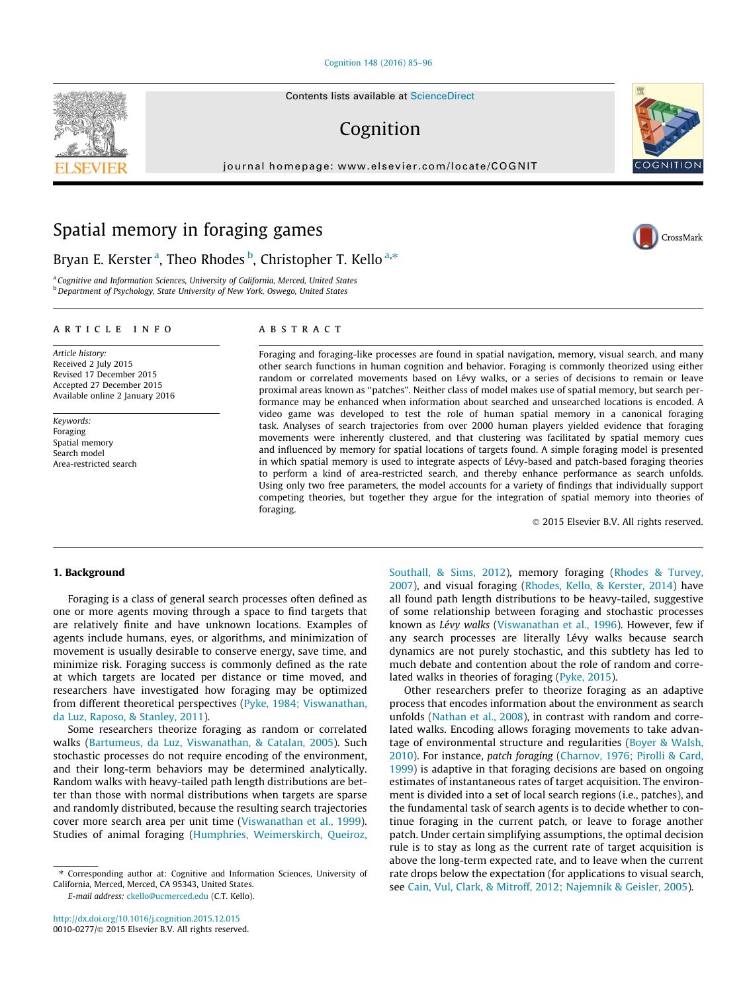### [Cognition 148 \(2016\) 85–96](http://dx.doi.org/10.1016/j.cognition.2015.12.015)

# Cognition

journal homepage: [www.elsevier.com/locate/COGNIT](http://www.elsevier.com/locate/COGNIT)



# Spatial memory in foraging games

Bryan E. Kerster <sup>a</sup>, Theo Rhodes <sup>b</sup>, Christopher T. Kello <sup>a,</sup>\*

<sup>a</sup> Cognitive and Information Sciences, University of California, Merced, United States b Department of Psychology, State University of New York, Oswego, United States

## article info

Article history: Received 2 July 2015 Revised 17 December 2015 Accepted 27 December 2015 Available online 2 January 2016

Keywords: Foraging Spatial memory Search model Area-restricted search

# **ABSTRACT**

Foraging and foraging-like processes are found in spatial navigation, memory, visual search, and many other search functions in human cognition and behavior. Foraging is commonly theorized using either random or correlated movements based on Lévy walks, or a series of decisions to remain or leave proximal areas known as ''patches". Neither class of model makes use of spatial memory, but search performance may be enhanced when information about searched and unsearched locations is encoded. A video game was developed to test the role of human spatial memory in a canonical foraging task. Analyses of search trajectories from over 2000 human players yielded evidence that foraging movements were inherently clustered, and that clustering was facilitated by spatial memory cues and influenced by memory for spatial locations of targets found. A simple foraging model is presented in which spatial memory is used to integrate aspects of Lévy-based and patch-based foraging theories to perform a kind of area-restricted search, and thereby enhance performance as search unfolds. Using only two free parameters, the model accounts for a variety of findings that individually support competing theories, but together they argue for the integration of spatial memory into theories of foraging.

2015 Elsevier B.V. All rights reserved.

### 1. Background

Foraging is a class of general search processes often defined as one or more agents moving through a space to find targets that are relatively finite and have unknown locations. Examples of agents include humans, eyes, or algorithms, and minimization of movement is usually desirable to conserve energy, save time, and minimize risk. Foraging success is commonly defined as the rate at which targets are located per distance or time moved, and researchers have investigated how foraging may be optimized from different theoretical perspectives (Pyke, 1984; Viswanathan, da Luz, Raposo, & Stanley, 2011).

Some researchers theorize foraging as random or correlated walks (Bartumeus, da Luz, Viswanathan, & Catalan, 2005). Such stochastic processes do not require encoding of the environment, and their long-term behaviors may be determined analytically. Random walks with heavy-tailed path length distributions are better than those with normal distributions when targets are sparse and randomly distributed, because the resulting search trajectories cover more search area per unit time (Viswanathan et al., 1999). Studies of animal foraging (Humphries, Weimerskirch, Queiroz,

E-mail address: [ckello@ucmerced.edu](mailto:ckello@ucmerced.edu) (C.T. Kello).

Southall, & Sims, 2012), memory foraging (Rhodes & Turvey, 2007), and visual foraging (Rhodes, Kello, & Kerster, 2014) have all found path length distributions to be heavy-tailed, suggestive of some relationship between foraging and stochastic processes known as Lévy walks (Viswanathan et al., 1996). However, few if any search processes are literally Lévy walks because search dynamics are not purely stochastic, and this subtlety has led to much debate and contention about the role of random and correlated walks in theories of foraging (Pyke, 2015).

Other researchers prefer to theorize foraging as an adaptive process that encodes information about the environment as search unfolds (Nathan et al., 2008), in contrast with random and correlated walks. Encoding allows foraging movements to take advantage of environmental structure and regularities (Boyer & Walsh, 2010). For instance, patch foraging (Charnov, 1976; Pirolli & Card, 1999) is adaptive in that foraging decisions are based on ongoing estimates of instantaneous rates of target acquisition. The environment is divided into a set of local search regions (i.e., patches), and the fundamental task of search agents is to decide whether to continue foraging in the current patch, or leave to forage another patch. Under certain simplifying assumptions, the optimal decision rule is to stay as long as the current rate of target acquisition is above the long-term expected rate, and to leave when the current rate drops below the expectation (for applications to visual search, see Cain, Vul, Clark, & Mitroff, 2012; Najemnik & Geisler, 2005).





<sup>⇑</sup> Corresponding author at: Cognitive and Information Sciences, University of California, Merced, Merced, CA 95343, United States.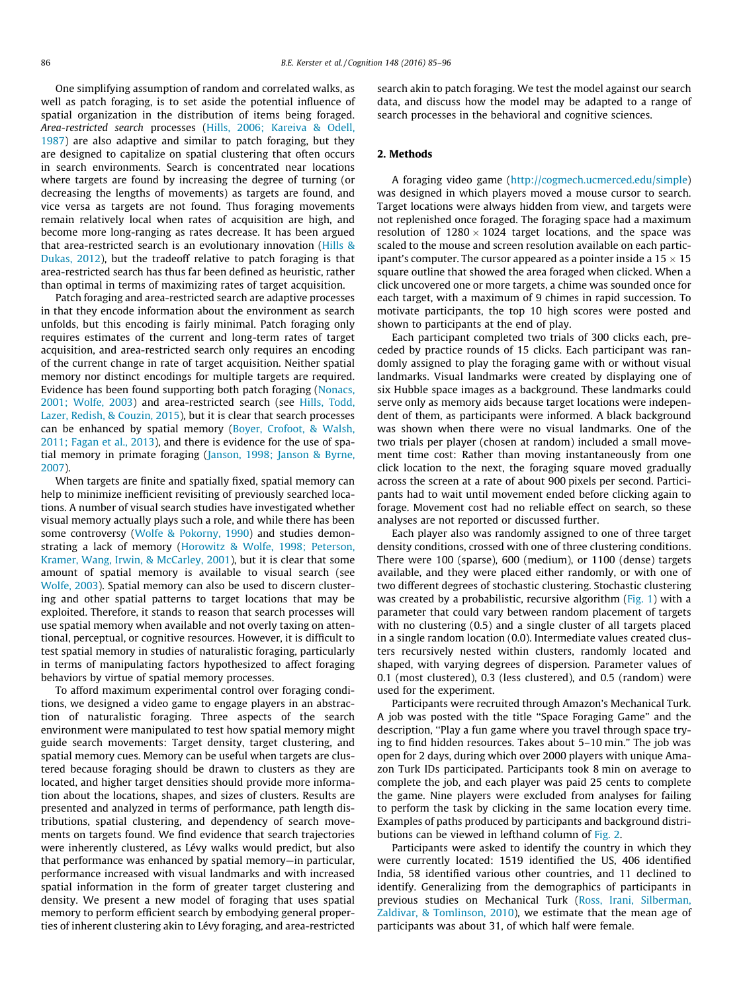One simplifying assumption of random and correlated walks, as well as patch foraging, is to set aside the potential influence of spatial organization in the distribution of items being foraged. Area-restricted search processes (Hills, 2006; Kareiva & Odell, 1987) are also adaptive and similar to patch foraging, but they are designed to capitalize on spatial clustering that often occurs in search environments. Search is concentrated near locations where targets are found by increasing the degree of turning (or decreasing the lengths of movements) as targets are found, and vice versa as targets are not found. Thus foraging movements remain relatively local when rates of acquisition are high, and become more long-ranging as rates decrease. It has been argued that area-restricted search is an evolutionary innovation (Hills & Dukas, 2012), but the tradeoff relative to patch foraging is that area-restricted search has thus far been defined as heuristic, rather than optimal in terms of maximizing rates of target acquisition.

Patch foraging and area-restricted search are adaptive processes in that they encode information about the environment as search unfolds, but this encoding is fairly minimal. Patch foraging only requires estimates of the current and long-term rates of target acquisition, and area-restricted search only requires an encoding of the current change in rate of target acquisition. Neither spatial memory nor distinct encodings for multiple targets are required. Evidence has been found supporting both patch foraging (Nonacs, 2001; Wolfe, 2003) and area-restricted search (see Hills, Todd, Lazer, Redish, & Couzin, 2015), but it is clear that search processes can be enhanced by spatial memory (Boyer, Crofoot, & Walsh, 2011; Fagan et al., 2013), and there is evidence for the use of spatial memory in primate foraging (Janson, 1998; Janson & Byrne, 2007).

When targets are finite and spatially fixed, spatial memory can help to minimize inefficient revisiting of previously searched locations. A number of visual search studies have investigated whether visual memory actually plays such a role, and while there has been some controversy (Wolfe & Pokorny, 1990) and studies demonstrating a lack of memory (Horowitz & Wolfe, 1998; Peterson, Kramer, Wang, Irwin, & McCarley, 2001), but it is clear that some amount of spatial memory is available to visual search (see Wolfe, 2003). Spatial memory can also be used to discern clustering and other spatial patterns to target locations that may be exploited. Therefore, it stands to reason that search processes will use spatial memory when available and not overly taxing on attentional, perceptual, or cognitive resources. However, it is difficult to test spatial memory in studies of naturalistic foraging, particularly in terms of manipulating factors hypothesized to affect foraging behaviors by virtue of spatial memory processes.

To afford maximum experimental control over foraging conditions, we designed a video game to engage players in an abstraction of naturalistic foraging. Three aspects of the search environment were manipulated to test how spatial memory might guide search movements: Target density, target clustering, and spatial memory cues. Memory can be useful when targets are clustered because foraging should be drawn to clusters as they are located, and higher target densities should provide more information about the locations, shapes, and sizes of clusters. Results are presented and analyzed in terms of performance, path length distributions, spatial clustering, and dependency of search movements on targets found. We find evidence that search trajectories were inherently clustered, as Lévy walks would predict, but also that performance was enhanced by spatial memory—in particular, performance increased with visual landmarks and with increased spatial information in the form of greater target clustering and density. We present a new model of foraging that uses spatial memory to perform efficient search by embodying general properties of inherent clustering akin to Lévy foraging, and area-restricted search akin to patch foraging. We test the model against our search data, and discuss how the model may be adapted to a range of search processes in the behavioral and cognitive sciences.

## 2. Methods

A foraging video game [\(http://cogmech.ucmerced.edu/simple\)](http://cogmech.ucmerced.edu/simple) was designed in which players moved a mouse cursor to search. Target locations were always hidden from view, and targets were not replenished once foraged. The foraging space had a maximum resolution of  $1280 \times 1024$  target locations, and the space was scaled to the mouse and screen resolution available on each participant's computer. The cursor appeared as a pointer inside a  $15 \times 15$ square outline that showed the area foraged when clicked. When a click uncovered one or more targets, a chime was sounded once for each target, with a maximum of 9 chimes in rapid succession. To motivate participants, the top 10 high scores were posted and shown to participants at the end of play.

Each participant completed two trials of 300 clicks each, preceded by practice rounds of 15 clicks. Each participant was randomly assigned to play the foraging game with or without visual landmarks. Visual landmarks were created by displaying one of six Hubble space images as a background. These landmarks could serve only as memory aids because target locations were independent of them, as participants were informed. A black background was shown when there were no visual landmarks. One of the two trials per player (chosen at random) included a small movement time cost: Rather than moving instantaneously from one click location to the next, the foraging square moved gradually across the screen at a rate of about 900 pixels per second. Participants had to wait until movement ended before clicking again to forage. Movement cost had no reliable effect on search, so these analyses are not reported or discussed further.

Each player also was randomly assigned to one of three target density conditions, crossed with one of three clustering conditions. There were 100 (sparse), 600 (medium), or 1100 (dense) targets available, and they were placed either randomly, or with one of two different degrees of stochastic clustering. Stochastic clustering was created by a probabilistic, recursive algorithm (Fig. 1) with a parameter that could vary between random placement of targets with no clustering (0.5) and a single cluster of all targets placed in a single random location (0.0). Intermediate values created clusters recursively nested within clusters, randomly located and shaped, with varying degrees of dispersion. Parameter values of 0.1 (most clustered), 0.3 (less clustered), and 0.5 (random) were used for the experiment.

Participants were recruited through Amazon's Mechanical Turk. A job was posted with the title ''Space Foraging Game" and the description, ''Play a fun game where you travel through space trying to find hidden resources. Takes about 5–10 min." The job was open for 2 days, during which over 2000 players with unique Amazon Turk IDs participated. Participants took 8 min on average to complete the job, and each player was paid 25 cents to complete the game. Nine players were excluded from analyses for failing to perform the task by clicking in the same location every time. Examples of paths produced by participants and background distributions can be viewed in lefthand column of Fig. 2.

Participants were asked to identify the country in which they were currently located: 1519 identified the US, 406 identified India, 58 identified various other countries, and 11 declined to identify. Generalizing from the demographics of participants in previous studies on Mechanical Turk (Ross, Irani, Silberman, Zaldivar, & Tomlinson, 2010), we estimate that the mean age of participants was about 31, of which half were female.